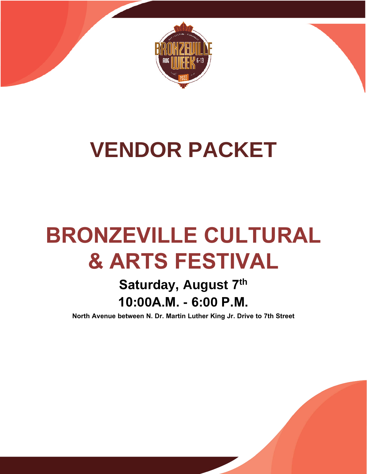

## **VENDOR PACKET**

# **BRONZEVILLE CULTURAL & ARTS FESTIVAL**

### **Saturday, August 7 th 10:00A.M. - 6:00 P.M.**

**North Avenue between N. Dr. Martin Luther King Jr. Drive to 7th Street**

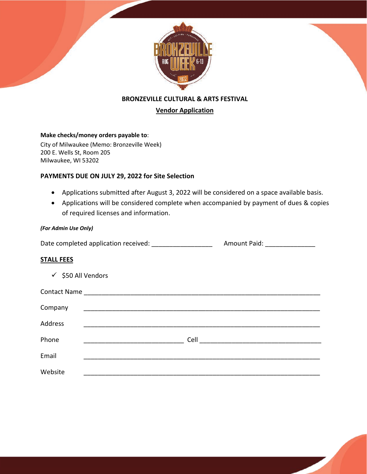

**BRONZEVILLE CULTURAL & ARTS FESTIVAL**

#### **Vendor Application**

#### **Make checks/money orders payable to**:

City of Milwaukee (Memo: Bronzeville Week) 200 E. Wells St, Room 205 Milwaukee, WI 53202

#### **PAYMENTS DUE ON JULY 29, 2022 for Site Selection**

- Applications submitted after August 3, 2022 will be considered on a space available basis.
- Applications will be considered complete when accompanied by payment of dues & copies of required licenses and information.

#### *(For Admin Use Only)*

Date completed application received: <br> Pate completed application received: <br> Pate 2011 Amount Paid:  $\frac{1}{2}$ 

#### **STALL FEES**

| $\checkmark$ \$50 All Vendors |                              |
|-------------------------------|------------------------------|
|                               |                              |
| Company                       |                              |
| Address                       |                              |
| Phone                         | Cell _______________________ |
| Email                         |                              |
| Website                       |                              |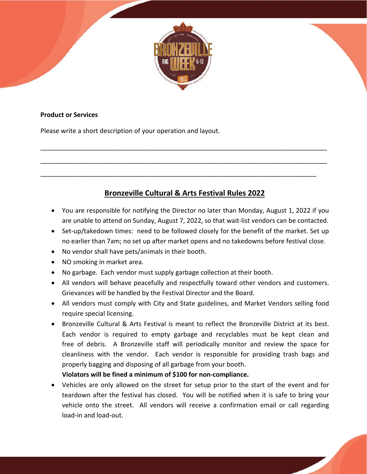

#### **Product or Services**

Please write a short description of your operation and layout.

### **Bronzeville Cultural & Arts Festival Rules 2022**

\_\_\_\_\_\_\_\_\_\_\_\_\_\_\_\_\_\_\_\_\_\_\_\_\_\_\_\_\_\_\_\_\_\_\_\_\_\_\_\_\_\_\_\_\_\_\_\_\_\_\_\_\_\_\_\_\_\_\_\_\_\_\_\_\_\_\_\_\_\_\_\_\_\_\_\_\_\_\_\_

\_\_\_\_\_\_\_\_\_\_\_\_\_\_\_\_\_\_\_\_\_\_\_\_\_\_\_\_\_\_\_\_\_\_\_\_\_\_\_\_\_\_\_\_\_\_\_\_\_\_\_\_\_\_\_\_\_\_\_\_\_\_\_\_\_\_\_\_\_\_\_\_\_\_\_\_\_\_\_\_

\_\_\_\_\_\_\_\_\_\_\_\_\_\_\_\_\_\_\_\_\_\_\_\_\_\_\_\_\_\_\_\_\_\_\_\_\_\_\_\_\_\_\_\_\_\_\_\_\_\_\_\_\_\_\_\_\_\_\_\_\_\_\_\_\_\_\_\_\_\_\_\_\_\_\_\_\_

- You are responsible for notifying the Director no later than Monday, August 1, 2022 if you are unable to attend on Sunday, August 7, 2022, so that wait-list vendors can be contacted.
- Set-up/takedown times: need to be followed closely for the benefit of the market. Set up no earlier than 7am; no set up after market opens and no takedowns before festival close.
- No vendor shall have pets/animals in their booth.
- NO smoking in market area.
- No garbage. Each vendor must supply garbage collection at their booth.
- All vendors will behave peacefully and respectfully toward other vendors and customers. Grievances will be handled by the Festival Director and the Board.
- All vendors must comply with City and State guidelines, and Market Vendors selling food require special licensing.
- Bronzeville Cultural & Arts Festival is meant to reflect the Bronzeville District at its best. Each vendor is required to empty garbage and recyclables must be kept clean and free of debris. A Bronzeville staff will periodically monitor and review the space for cleanliness with the vendor. Each vendor is responsible for providing trash bags and properly bagging and disposing of all garbage from your booth.

**Violators will be fined a minimum of \$100 for non-compliance.**

• Vehicles are only allowed on the street for setup prior to the start of the event and for teardown after the festival has closed. You will be notified when it is safe to bring your vehicle onto the street. All vendors will receive a confirmation email or call regarding load-in and load-out.